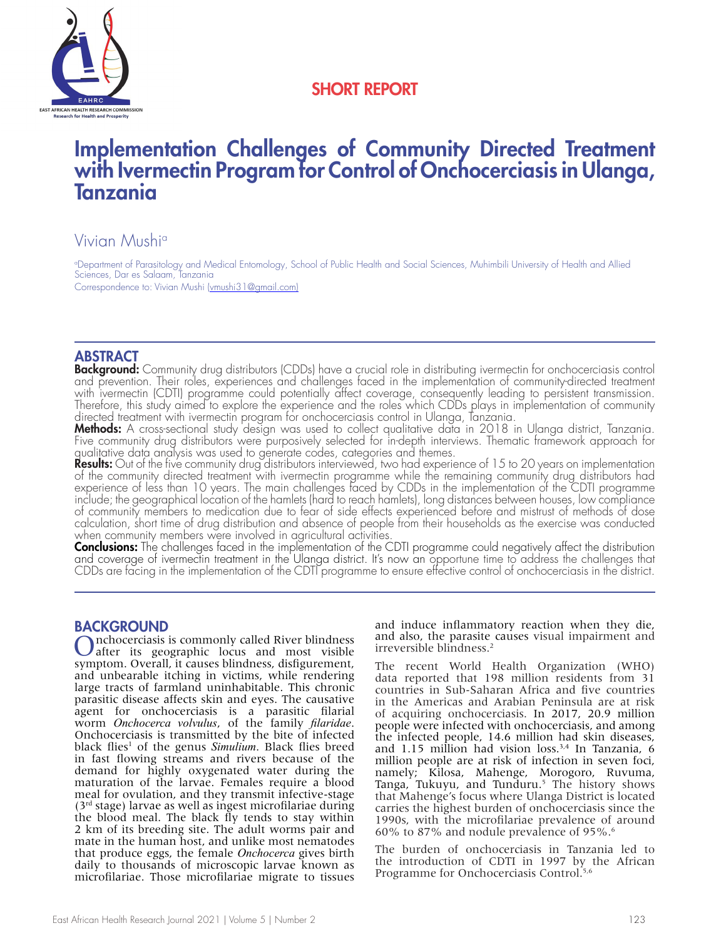

# SHORT REPORT

# Implementation Challenges of Community Directed Treatment with Ivermectin Program for Control of Onchocerciasis in Ulanga, Tanzania

# Vivian Mushia

a Department of Parasitology and Medical Entomology, School of Public Health and Social Sciences, Muhimbili University of Health and Allied Sciences, Dar es Salaam, Tanzania Correspondence to: Vivian Mushi (vmushi31@gmail.com)

# ABSTRACT

Background: Community drug distributors (CDDs) have a crucial role in distributing ivermectin for onchocerciasis control and prevention. Their roles, experiences and challenges faced in the implementation of community-directed treatment with ivermectin (CDTI) programme could potentially affect coverage, consequently leading to persistent transmission. Therefore, this study aimed to explore the experience and the roles which CDDs plays in implementation of community directed treatment with ivermectin program for onchocerciasis control in Ulanga, Tanzania.

**Methods:** A cross-sectional study design was used to collect qualitative data in 2018 in Ulanga district, Tanzania. Five community drug distributors were purposively selected for in-depth interviews. Thematic framework approach for qualitative data analysis was used to generate codes, categories and themes.

**Results:** Out of the five community drug distributors interviewed, two had experience of 15 to 20 years on implementation of the community directed treatment with ivermectin programme while the remaining community drug distributors had experience of less than 10 years. The main challenges faced by CDDs in the implementation of the CDTI programme include; the geographical location of the hamlets (hard to reach hamlets), long distances between houses, low compliance of community members to medication due to fear of side effects experienced before and mistrust of methods of dose calculation, short time of drug distribution and absence of people from their households as the exercise was conducted when community members were involved in agricultural activities.

Conclusions: The challenges faced in the implementation of the CDTI programme could negatively affect the distribution and coverage of ivermectin treatment in the Ulanga district. It's now an opportune time to address the challenges that CDDs are facing in the implementation of the CDTI programme to ensure effective control of onchocerciasis in the district.

**BACKGROUND**<br> **O**nchocerciasis is commonly called River blindness Onchocerciasis is commonly called River blindness<br>
after its geographic locus and most visible<br>
consult to consult the consultation of the consultation symptom. Overall, it causes blindness, disfigurement, and unbearable itching in victims, while rendering large tracts of farmland uninhabitable. This chronic parasitic disease affects skin and eyes. The causative agent for onchocerciasis is a parasitic filarial worm *Onchocerca volvulus*, of the family *filaridae*. Onchocerciasis is transmitted by the bite of infected black flies<sup>1</sup> of the genus Simulium. Black flies breed in fast flowing streams and rivers because of the demand for highly oxygenated water during the maturation of the larvae. Females require a blood meal for ovulation, and they transmit infective-stage  $(3<sup>rd</sup> stage)$  larvae as well as ingest microfilariae during the blood meal. The black fly tends to stay within 2 km of its breeding site. The adult worms pair and mate in the human host, and unlike most nematodes that produce eggs, the female *Onchocerca* gives birth daily to thousands of microscopic larvae known as microfilariae. Those microfilariae migrate to tissues

and induce inflammatory reaction when they die, and also, the parasite causes visual impairment and irreversible blindness.2

The recent World Health Organization (WHO) data reported that 198 million residents from 31 countries in Sub-Saharan Africa and five countries in the Americas and Arabian Peninsula are at risk of acquiring onchocerciasis. In 2017, 20.9 million people were infected with onchocerciasis, and among the infected people, 14.6 million had skin diseases, and 1.15 million had vision loss.<sup>3,4</sup> In Tanzania, 6 million people are at risk of infection in seven foci, namely; Kilosa, Mahenge, Morogoro, Ruvuma, Tanga, Tukuyu, and Tunduru.<sup>5</sup> The history shows that Mahenge's focus where Ulanga District is located carries the highest burden of onchocerciasis since the 1990s, with the microfilariae prevalence of around 60% to 87% and nodule prevalence of 95%. $\degree$ 

The burden of onchocerciasis in Tanzania led to the introduction of CDTI in 1997 by the African Programme for Onchocerciasis Control.<sup>5,6</sup>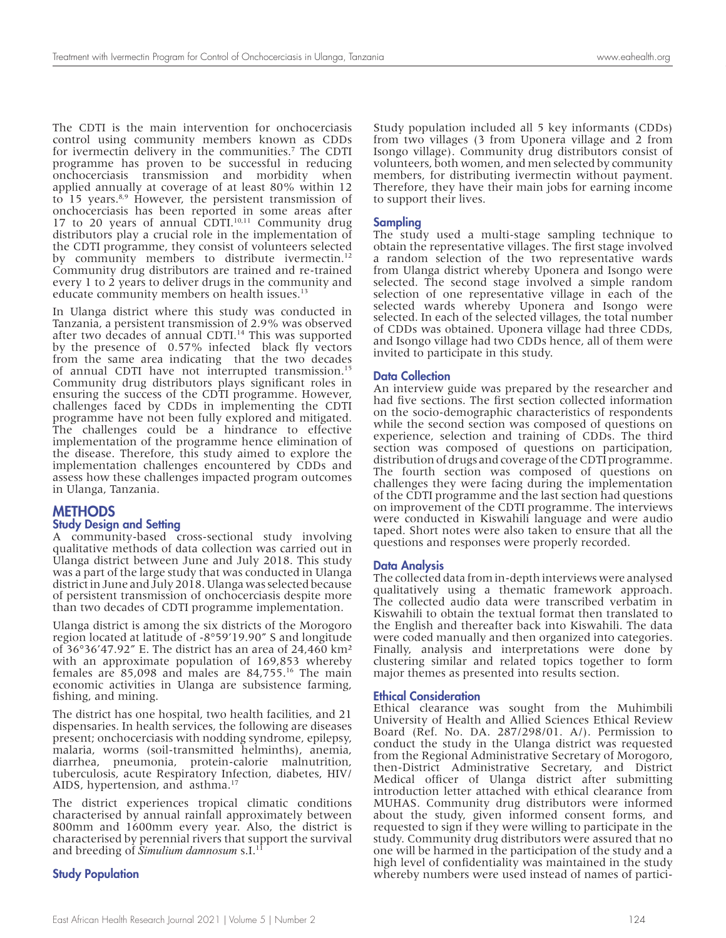The CDTI is the main intervention for onchocerciasis control using community members known as CDDs for ivermectin delivery in the communities.7 The CDTI programme has proven to be successful in reducing onchocerciasis transmission and morbidity when applied annually at coverage of at least 80% within 12 to 15 years.<sup>8,9</sup> However, the persistent transmission of onchocerciasis has been reported in some areas after 17 to 20 years of annual CDTI.<sup>10,11</sup> Community drug distributors play a crucial role in the implementation of the CDTI programme, they consist of volunteers selected by community members to distribute ivermectin.<sup>12</sup> Community drug distributors are trained and re-trained every 1 to 2 years to deliver drugs in the community and educate community members on health issues.<sup>13</sup>

In Ulanga district where this study was conducted in Tanzania, a persistent transmission of 2.9% was observed after two decades of annual CDTI.<sup>14</sup> This was supported by the presence of 0.57% infected black fly vectors from the same area indicating that the two decades of annual CDTI have not interrupted transmission.15 Community drug distributors plays significant roles in ensuring the success of the CDTI programme. However, challenges faced by CDDs in implementing the CDTI programme have not been fully explored and mitigated. The challenges could be a hindrance to effective implementation of the programme hence elimination of the disease. Therefore, this study aimed to explore the implementation challenges encountered by CDDs and assess how these challenges impacted program outcomes in Ulanga, Tanzania.

## **METHODS**

#### Study Design and Setting

A community-based cross-sectional study involving qualitative methods of data collection was carried out in Ulanga district between June and July 2018. This study was a part of the large study that was conducted in Ulanga district in June and July 2018. Ulanga was selected because of persistent transmission of onchocerciasis despite more than two decades of CDTI programme implementation.

Ulanga district is among the six districts of the Morogoro region located at latitude of -8°59'19.90" S and longitude of 36°36'47.92" E. The district has an area of 24,460 km² with an approximate population of 169,853 whereby females are 85,098 and males are 84,755.16 The main economic activities in Ulanga are subsistence farming, fishing, and mining.

The district has one hospital, two health facilities, and 21 dispensaries. In health services, the following are diseases present; onchocerciasis with nodding syndrome, epilepsy, malaria, worms (soil-transmitted helminths), anemia, diarrhea, pneumonia, protein-calorie malnutrition, tuberculosis, acute Respiratory Infection, diabetes, HIV/ AIDS, hypertension, and asthma.<sup>17</sup>

The district experiences tropical climatic conditions characterised by annual rainfall approximately between 800mm and 1600mm every year. Also, the district is characterised by perennial rivers that support the survival and breeding of *Simulium damnosum* s.I.<sup>1</sup>

## Study Population

Study population included all 5 key informants (CDDs) from two villages (3 from Uponera village and 2 from Isongo village). Community drug distributors consist of volunteers, both women, and men selected by community members, for distributing ivermectin without payment. Therefore, they have their main jobs for earning income to support their lives.

### Sampling

The study used a multi-stage sampling technique to obtain the representative villages. The first stage involved a random selection of the two representative wards from Ulanga district whereby Uponera and Isongo were selected. The second stage involved a simple random selection of one representative village in each of the selected wards whereby Uponera and Isongo were selected. In each of the selected villages, the total number of CDDs was obtained. Uponera village had three CDDs, and Isongo village had two CDDs hence, all of them were invited to participate in this study.

#### Data Collection

An interview guide was prepared by the researcher and had five sections. The first section collected information on the socio-demographic characteristics of respondents while the second section was composed of questions on experience, selection and training of CDDs. The third section was composed of questions on participation, distribution of drugs and coverage of the CDTI programme. The fourth section was composed of questions on challenges they were facing during the implementation of the CDTI programme and the last section had questions on improvement of the CDTI programme. The interviews were conducted in Kiswahili language and were audio taped. Short notes were also taken to ensure that all the questions and responses were properly recorded.

#### Data Analysis

The collected data from in-depth interviews were analysed qualitatively using a thematic framework approach. The collected audio data were transcribed verbatim in Kiswahili to obtain the textual format then translated to the English and thereafter back into Kiswahili. The data were coded manually and then organized into categories. Finally, analysis and interpretations were done by clustering similar and related topics together to form major themes as presented into results section.

#### Ethical Consideration

Ethical clearance was sought from the Muhimbili University of Health and Allied Sciences Ethical Review Board (Ref. No. DA. 287/298/01. A/). Permission to conduct the study in the Ulanga district was requested from the Regional Administrative Secretary of Morogoro, then-District Administrative Secretary, and District Medical officer of Ulanga district after submitting introduction letter attached with ethical clearance from MUHAS. Community drug distributors were informed about the study, given informed consent forms, and requested to sign if they were willing to participate in the study. Community drug distributors were assured that no one will be harmed in the participation of the study and a high level of confidentiality was maintained in the study whereby numbers were used instead of names of partici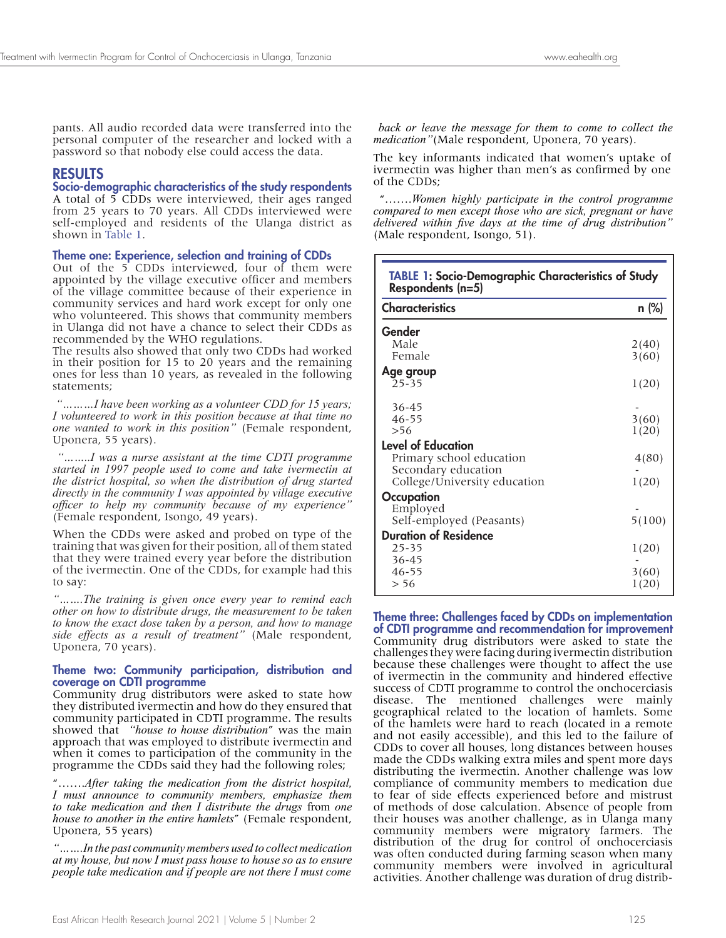pants. All audio recorded data were transferred into the personal computer of the researcher and locked with a password so that nobody else could access the data.

# RESULTS

## Socio-demographic characteristics of the study respondents

A total of 5 CDDs were interviewed, their ages ranged from 25 years to 70 years. All CDDs interviewed were self-employed and residents of the Ulanga district as shown in Table 1.

## Theme one: Experience, selection and training of CDDs

Out of the 5 CDDs interviewed, four of them were appointed by the village executive officer and members of the village committee because of their experience in community services and hard work except for only one who volunteered. This shows that community members in Ulanga did not have a chance to select their CDDs as recommended by the WHO regulations.

The results also showed that only two CDDs had worked in their position for 15 to 20 years and the remaining ones for less than 10 years, as revealed in the following statements;

*"………I have been working as a volunteer CDD for 15 years; I volunteered to work in this position because at that time no one wanted to work in this position"* (Female respondent, Uponera, 55 years).

 *"……..I was a nurse assistant at the time CDTI programme started in 1997 people used to come and take ivermectin at the district hospital, so when the distribution of drug started directly in the community I was appointed by village executive officer to help my community because of my experience"* (Female respondent, Isongo, 49 years).

When the CDDs were asked and probed on type of the training that was given for their position, all of them stated that they were trained every year before the distribution of the ivermectin. One of the CDDs, for example had this to say:

*"…….The training is given once every year to remind each other on how to distribute drugs, the measurement to be taken to know the exact dose taken by a person, and how to manage side effects as a result of treatment"* (Male respondent, Uponera, 70 years).

## Theme two: Community participation, distribution and coverage on CDTI programme

Community drug distributors were asked to state how they distributed ivermectin and how do they ensured that community participated in CDTI programme. The results showed that *"house to house distribution*" was the main approach that was employed to distribute ivermectin and when it comes to participation of the community in the programme the CDDs said they had the following roles;

"…….*After taking the medication from the district hospital, I must announce to community members, emphasize them to take medication and then I distribute the drugs* from *one house to another in the entire hamlets*" (Female respondent, Uponera, 55 years)

*"…….In the past community members used to collect medication at my house, but now I must pass house to house so as to ensure people take medication and if people are not there I must come*

 *back or leave the message for them to come to collect the medication"*(Male respondent, Uponera, 70 years).

The key informants indicated that women's uptake of ivermectin was higher than men's as confirmed by one of the CDDs;

 "…….*Women highly participate in the control programme compared to men except those who are sick, pregnant or have delivered within five days at the time of drug distribution"*  (Male respondent, Isongo, 51).

| <b>TABLE 1: Socio-Demographic Characteristics of Study</b><br>Respondents (n=5) |        |
|---------------------------------------------------------------------------------|--------|
| <b>Characteristics</b>                                                          | n (%)  |
| Gender                                                                          |        |
| Male                                                                            | 2(40)  |
| Female                                                                          | 3(60)  |
| Age group                                                                       |        |
| $25 - 35$                                                                       | 1(20)  |
| 36-45                                                                           |        |
| $46 - 55$                                                                       | 3(60)  |
| > 56                                                                            | 1(20)  |
| <b>Level of Education</b>                                                       |        |
| Primary school education                                                        | 4(80)  |
| Secondary education                                                             |        |
| College/University education                                                    | 1(20)  |
| Occupation                                                                      |        |
| Employed                                                                        |        |
| Self-employed (Peasants)                                                        | 5(100) |
| <b>Duration of Residence</b>                                                    |        |
| 25-35                                                                           | 1(20)  |
| $36 - 45$                                                                       |        |
| $46 - 55$                                                                       | 3(60)  |
| > 56                                                                            | 1(20)  |

Theme three: Challenges faced by CDDs on implementation of CDTI programme and recommendation for improvement Community drug distributors were asked to state the challenges they were facing during ivermectin distribution because these challenges were thought to affect the use of ivermectin in the community and hindered effective success of CDTI programme to control the onchocerciasis disease. The mentioned challenges were mainly geographical related to the location of hamlets. Some of the hamlets were hard to reach (located in a remote and not easily accessible), and this led to the failure of CDDs to cover all houses, long distances between houses made the CDDs walking extra miles and spent more days distributing the ivermectin. Another challenge was low compliance of community members to medication due to fear of side effects experienced before and mistrust of methods of dose calculation. Absence of people from their houses was another challenge, as in Ulanga many community members were migratory farmers. The distribution of the drug for control of onchocerciasis was often conducted during farming season when many community members were involved in agricultural activities. Another challenge was duration of drug distrib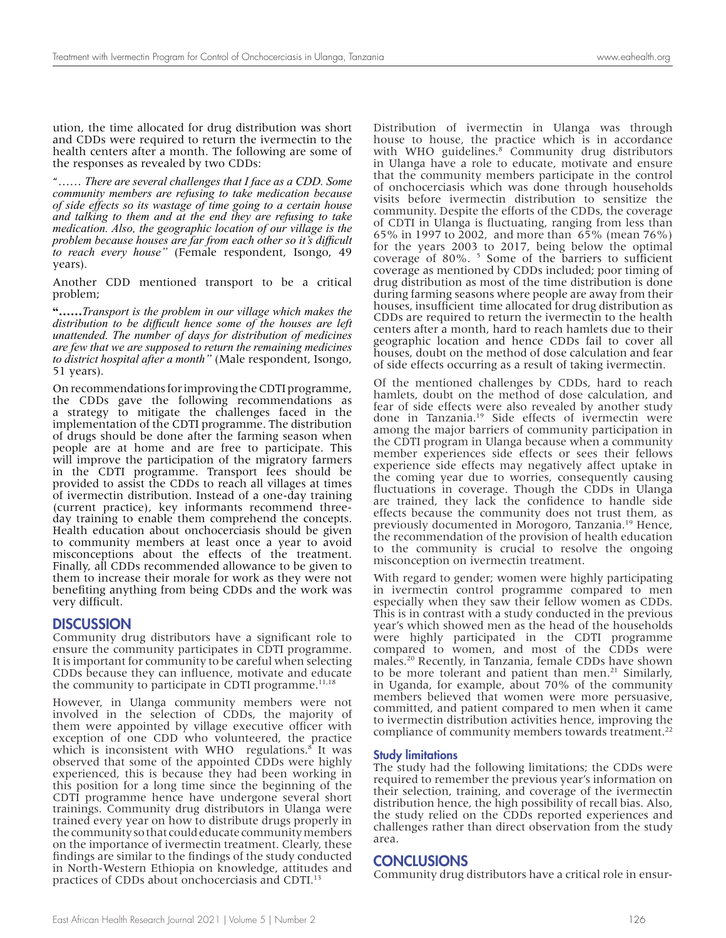ution, the time allocated for drug distribution was short and CDDs were required to return the ivermectin to the health centers after a month. The following are some of the responses as revealed by two CDDs:

"…… *There are several challenges that I face as a CDD. Some community members are refusing to take medication because of side effects so its wastage of time going to a certain house and talking to them and at the end they are refusing to take medication. Also, the geographic location of our village is the problem because houses are far from each other so it's difficult to reach every house"* (Female respondent, Isongo, 49 years)*.*

Another CDD mentioned transport to be a critical problem;

**"……***Transport is the problem in our village which makes the distribution to be difficult hence some of the houses are left unattended. The number of days for distribution of medicines are few that we are supposed to return the remaining medicines to district hospital after a month"* (Male respondent, Isongo, 51 years)*.*

On recommendations for improving the CDTI programme, the CDDs gave the following recommendations as a strategy to mitigate the challenges faced in the implementation of the CDTI programme. The distribution of drugs should be done after the farming season when people are at home and are free to participate. This will improve the participation of the migratory farmers in the CDTI programme. Transport fees should be provided to assist the CDDs to reach all villages at times of ivermectin distribution. Instead of a one-day training (current practice), key informants recommend threeday training to enable them comprehend the concepts. Health education about onchocerciasis should be given to community members at least once a year to avoid misconceptions about the effects of the treatment. Finally, all CDDs recommended allowance to be given to them to increase their morale for work as they were not benefiting anything from being CDDs and the work was very difficult.

#### **DISCUSSION**

Community drug distributors have a significant role to ensure the community participates in CDTI programme. It is important for community to be careful when selecting CDDs because they can influence, motivate and educate the community to participate in CDTI programme. $11,18$ 

However, in Ulanga community members were not involved in the selection of CDDs, the majority of them were appointed by village executive officer with exception of one CDD who volunteered, the practice which is inconsistent with WHO regulations.<sup>8</sup> It was observed that some of the appointed CDDs were highly experienced, this is because they had been working in this position for a long time since the beginning of the CDTI programme hence have undergone several short trainings. Community drug distributors in Ulanga were trained every year on how to distribute drugs properly in the community so that could educate community members on the importance of ivermectin treatment. Clearly, these findings are similar to the findings of the study conducted in North-Western Ethiopia on knowledge, attitudes and practices of CDDs about onchocerciasis and CDTI.13

Distribution of ivermectin in Ulanga was through house to house, the practice which is in accordance with WHO guidelines.<sup>8</sup> Community drug distributors in Ulanga have a role to educate, motivate and ensure that the community members participate in the control of onchocerciasis which was done through households visits before ivermectin distribution to sensitize the community. Despite the efforts of the CDDs, the coverage of CDTI in Ulanga is fluctuating, ranging from less than 65% in 1997 to 2002, and more than 65% (mean 76%) for the years 2003 to 2017, being below the optimal coverage of 80%. <sup>5</sup> Some of the barriers to sufficient coverage as mentioned by CDDs included; poor timing of drug distribution as most of the time distribution is done during farming seasons where people are away from their houses, insufficient time allocated for drug distribution as CDDs are required to return the ivermectin to the health centers after a month, hard to reach hamlets due to their geographic location and hence CDDs fail to cover all houses, doubt on the method of dose calculation and fear of side effects occurring as a result of taking ivermectin.

Of the mentioned challenges by CDDs, hard to reach hamlets, doubt on the method of dose calculation, and fear of side effects were also revealed by another study done in Tanzania.<sup>19</sup> Side effects of ivermectin were among the major barriers of community participation in the CDTI program in Ulanga because when a community member experiences side effects or sees their fellows experience side effects may negatively affect uptake in the coming year due to worries, consequently causing fluctuations in coverage. Though the CDDs in Ulanga are trained, they lack the confidence to handle side effects because the community does not trust them, as previously documented in Morogoro, Tanzania.19 Hence, the recommendation of the provision of health education to the community is crucial to resolve the ongoing misconception on ivermectin treatment.

With regard to gender; women were highly participating in ivermectin control programme compared to men especially when they saw their fellow women as CDDs. This is in contrast with a study conducted in the previous year's which showed men as the head of the households were highly participated in the CDTI programme compared to women, and most of the CDDs were males.20 Recently, in Tanzania, female CDDs have shown to be more tolerant and patient than men.<sup>21</sup> Similarly, in Uganda, for example, about 70% of the community members believed that women were more persuasive, committed, and patient compared to men when it came to ivermectin distribution activities hence, improving the compliance of community members towards treatment.<sup>22</sup>

#### Study limitations

The study had the following limitations; the CDDs were required to remember the previous year's information on their selection, training, and coverage of the ivermectin distribution hence, the high possibility of recall bias. Also, the study relied on the CDDs reported experiences and challenges rather than direct observation from the study area.

#### **CONCLUSIONS**

Community drug distributors have a critical role in ensur-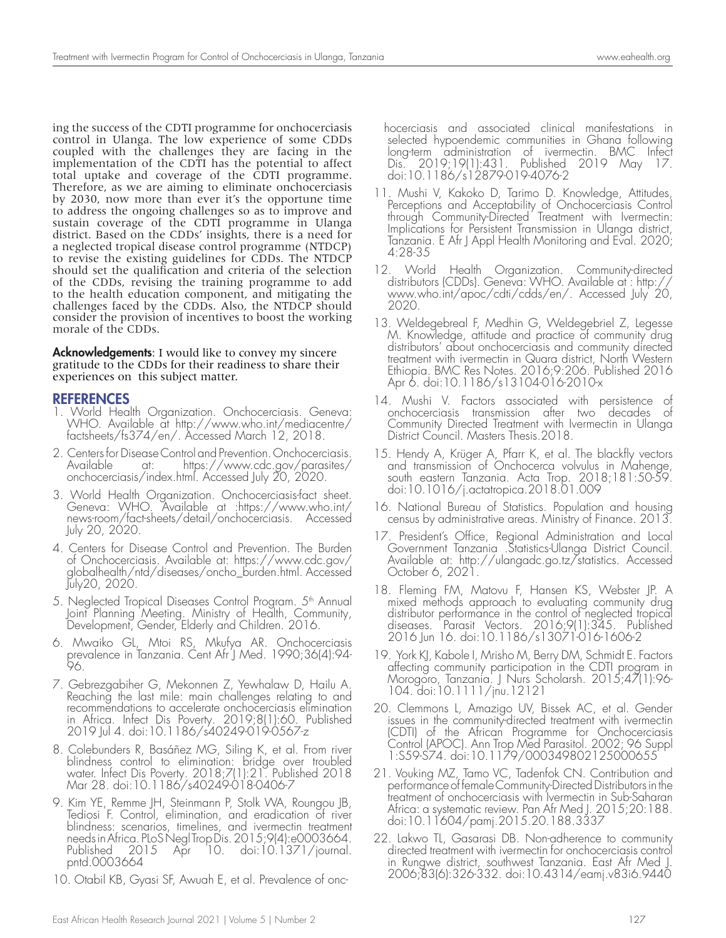ing the success of the CDTI programme for onchocerciasis control in Ulanga. The low experience of some CDDs coupled with the challenges they are facing in the implementation of the CDTI has the potential to affect total uptake and coverage of the CDTI programme. Therefore, as we are aiming to eliminate onchocerciasis by 2030, now more than ever it's the opportune time to address the ongoing challenges so as to improve and sustain coverage of the CDTI programme in Ulanga district. Based on the CDDs' insights, there is a need for a neglected tropical disease control programme (NTDCP) to revise the existing guidelines for CDDs. The NTDCP should set the qualification and criteria of the selection of the CDDs, revising the training programme to add to the health education component, and mitigating the challenges faced by the CDDs. Also, the NTDCP should consider the provision of incentives to boost the working morale of the CDDs.

**Acknowledgements:** I would like to convey my sincere gratitude to the CDDs for their readiness to share their experiences on this subject matter.

# REFERENCES

- 1. World Health Organization. Onchocerciasis. Geneva: WHO. Available at http://www.who.int/mediacentre/ factsheets/fs374/en/. Accessed March 12, 2018.
- 2. Centers for Disease Control and Prevention. Onchocerciasis. Available at: https://www.cdc.gov/parasites/ onchocerciasis/index.html. Accessed July 20, 2020.
- 3. World Health Organization. Onchocerciasis-fact sheet. Geneva: WHO. Available at :https://www.who.int/ news-room/fact-sheets/detail/onchocerciasis. Accessed July 20, 2020.
- 4. Centers for Disease Control and Prevention. The Burden of Onchocerciasis. Available at: https://www.cdc.gov/ globalhealth/ntd/diseases/oncho\_burden.html. Accessed July20, 2020.
- 5. Neglected Tropical Diseases Control Program. 5<sup>th</sup> Annual Joint Planning Meeting. Ministry of Health, Community, Development, Gender, Elderly and Children. 2016.
- 6. Mwaiko GL, Mtoi RS, Mkufya AR. Onchocerciasis prevalence in Tanzania. Cent Afr J Med. 1990;36(4):94- 96.
- 7. Gebrezgabiher G, Mekonnen Z, Yewhalaw D, Hailu A. Reaching the last mile: main challenges relating to and recommendations to accelerate onchocerciasis elimination in Africa. Infect Dis Poverty. 2019;8(1):60. Published 2019 Jul 4. doi:10.1186/s40249-019-0567-z
- 8. Colebunders R, Basáñez MG, Siling K, et al. From river blindness control to elimination: bridge over troubled water. Infect Dis Poverty. 2018;7(1):21. Published 2018 Mar 28. doi:10.1186/s40249-018-0406-7
- 9. Kim YE, Remme JH, Steinmann P, Stolk WA, Roungou JB, Tediosi F. Control, elimination, and eradication of river blindness: scenarios, timelines, and ivermectin treatment needs in Africa. PLoS Negl Trop Dis. 2015;9(4):e0003664. Published 2015 Apr 10. doi:10.1371/journal. pntd.0003664
- 10. Otabil KB, Gyasi SF, Awuah E, et al. Prevalence of onc-

 hocerciasis and associated clinical manifestations in selected hypoendemic communities in Ghana following long-term administration of ivermectin. BMC Infect Dis. 2019;19(1):431. Published 2019 May 17. doi:10.1186/s12879-019-4076-2

- 11. Mushi V, Kakoko D, Tarimo D. Knowledge, Attitudes, Perceptions and Acceptability of Onchocerciasis Control through Community-Directed Treatment with Ivermectin: Implications for Persistent Transmission in Ulanga district, Tanzania. E Afr J Appl Health Monitoring and Eval. 2020; 4:28-35
- 12. World Health Organization. Community-directed distributors (CDDs). Geneva: WHO. Available at : http:// www.who.int/apoc/cdti/cdds/en/. Accessed July 20, 2020.
- 13. Weldegebreal F, Medhin G, Weldegebriel Z, Legesse M. Knowledge, attitude and practice of community drug distributors' about onchocerciasis and community directed treatment with ivermectin in Quara district, North Western Ethiopia. BMC Res Notes. 2016;9:206. Published 2016 Apr 6. doi:10.1186/s13104-016-2010-x
- 14. Mushi V. Factors associated with persistence of onchocerciasis transmission after two decades of Community Directed Treatment with Ivermectin in Ulanga District Council. Masters Thesis.2018.
- 15. Hendy A, Krüger A, Pfarr K, et al. The blackfly vectors and transmission of Onchocerca volvulus in Mahenge, south eastern Tanzania. Acta Trop. 2018;181:50-59. doi:10.1016/j.actatropica.2018.01.009
- 16. National Bureau of Statistics. Population and housing census by administrative areas. Ministry of Finance. 2013.
- 17. President's Office, Regional Administration and Local Government Tanzania .Statistics-Ulanga District Council. Available at: http://ulangadc.go.tz/statistics. Accessed October 6, 2021.
- 18. Fleming FM, Matovu F, Hansen KS, Webster JP. A mixed methods approach to evaluating community drug distributor performance in the control of neglected tropical diseases. Parasit Vectors. 2016;9(1):345. Published 2016 Jun 16. doi:10.1186/s13071-016-1606-2
- 19. York KJ, Kabole I, Mrisho M, Berry DM, Schmidt E. Factors affecting community participation in the CDTI program in Morogoro, Tanzania. J Nurs Scholarsh. 2015;47(1):96- 104. doi:10.1111/jnu.12121
- 20. Clemmons L, Amazigo UV, Bissek AC, et al. Gender issues in the community-directed treatment with ivermectin (CDTI) of the African Programme for Onchocerciasis Control (APOC). Ann Trop Med Parasitol. 2002; 96 Suppl 1:S59-S74. doi:10.1179/000349802125000655
- 21. Vouking MZ, Tamo VC, Tadenfok CN. Contribution and performance of female Community-Directed Distributors in the treatment of onchocerciasis with Ivermectin in Sub-Saharan Africa: a systematic review. Pan Afr Med J. 2015;20:188. doi:10.11604/pamj.2015.20.188.3337
- 22. Lakwo TL, Gasarasi DB. Non-adherence to community directed treatment with ivermectin for onchocerciasis control in Rungwe district, southwest Tanzania. East Afr Med J. 2006;83(6):326-332. doi:10.4314/eamj.v83i6.9440